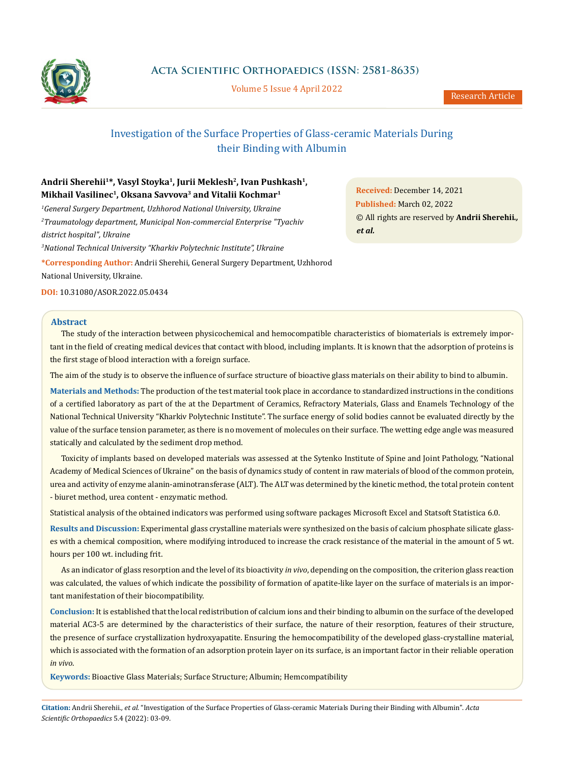

**Acta Scientific Orthopaedics (ISSN: 2581-8635)**

Volume 5 Issue 4 April 2022

# Investigation of the Surface Properties of Glass-ceramic Materials During their Binding with Albumin

# Andrii Sherehii<sup>1\*</sup>, Vasyl Stoyka<sup>1</sup>, Jurii Meklesh<sup>2</sup>, Ivan Pushkash<sup>1</sup>, **Mikhail Vasilinec1, Oksana Savvova3 and Vitalii Kochmar1**

*1 General Surgery Department, Uzhhorod National University, Ukraine 2 Traumatology department, Municipal Non-commercial Enterprise "Tyachiv district hospital", Ukraine*

*3 National Technical University "Kharkiv Polytechnic Institute", Ukraine*

**\*Corresponding Author:** Andrii Sherehii, General Surgery Department, Uzhhorod National University, Ukraine.

**DOI:** [10.31080/ASOR.2022.05.0434](http:// actascientific.com/ASOR/pdf/ASOR-05-0434.pdf)

### **Abstract**

The study of the interaction between physicochemical and hemocompatible characteristics of biomaterials is extremely important in the field of creating medical devices that contact with blood, including implants. It is known that the adsorption of proteins is the first stage of blood interaction with a foreign surface.

The aim of the study is to observe the influence of surface structure of bioactive glass materials on their ability to bind to albumin.

**Materials and Methods:** The production of the test material took place in accordance to standardized instructions in the conditions of a certified laboratory as part of the at the Department of Ceramics, Refractory Materials, Glass and Enamels Technology of the National Technical University "Kharkiv Polytechnic Institute". The surface energy of solid bodies cannot be evaluated directly by the value of the surface tension parameter, as there is no movement of molecules on their surface. The wetting edge angle was measured statically and calculated by the sediment drop method.

Toxicity of implants based on developed materials was assessed at the Sytenko Institute of Spine and Joint Pathology, "National Academy of Medical Sciences of Ukraine" on the basis of dynamics study of content in raw materials of blood of the common protein, urea and activity of enzyme alanin-aminotransferase (ALT). The ALT was determined by the kinetic method, the total protein content - biuret method, urea content - enzymatic method.

Statistical analysis of the obtained indicators was performed using software packages Microsoft Excel and Statsoft Statistica 6.0.

**Results and Discussion:** Experimental glass crystalline materials were synthesized on the basis of calcium phosphate silicate glasses with a chemical composition, where modifying introduced to increase the crack resistance of the material in the amount of 5 wt. hours per 100 wt. including frit.

As an indicator of glass resorption and the level of its bioactivity *in vivo*, depending on the composition, the criterion glass reaction was calculated, the values of which indicate the possibility of formation of apatite-like layer on the surface of materials is an important manifestation of their biocompatibility.

**Conclusion:** It is established that the local redistribution of calcium ions and their binding to albumin on the surface of the developed material AC3-5 are determined by the characteristics of their surface, the nature of their resorption, features of their structure, the presence of surface crystallization hydroxyapatite. Ensuring the hemocompatibility of the developed glass-crystalline material, which is associated with the formation of an adsorption protein layer on its surface, is an important factor in their reliable operation *in vivo*.

**Keywords:** Bioactive Glass Materials; Surface Structure; Albumin; Hemcompatibility

**Citation:** Andrii Sherehii*., et al.* "Investigation of the Surface Properties of Glass-ceramic Materials During their Binding with Albumin". *Acta Scientific Orthopaedics* 5.4 (2022): 03-09.

**Received:** December 14, 2021 **Published:** March 02, 2022 © All rights are reserved by **Andrii Sherehii***., et al.*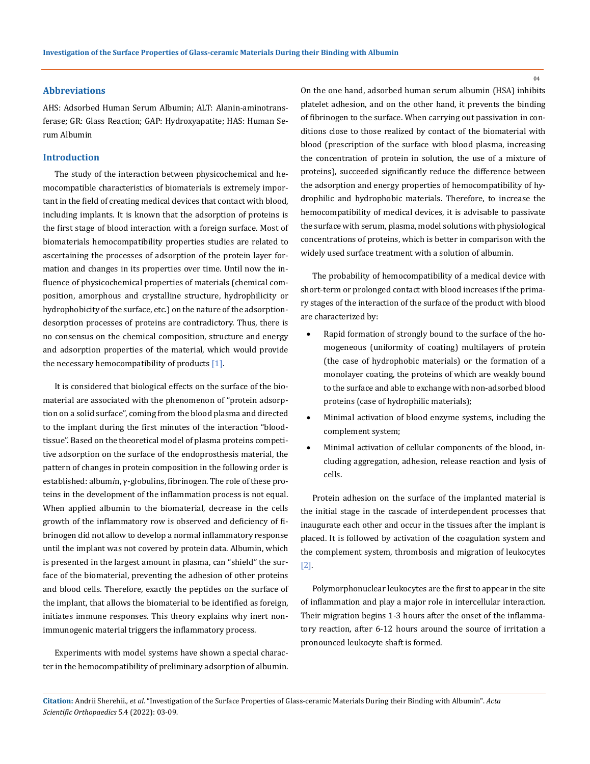### **Abbreviations**

AHS: Adsorbed Human Serum Albumin; ALT: Alanin*-*aminotransferase; GR: Glass Reaction; GAP: Hydroxyapatite; HAS: Human Serum Albumin

## **Introduction**

The study of the interaction between physicochemical and hemocompatible characteristics of biomaterials is extremely important in the field of creating medical devices that contact with blood, including implants. It is known that the adsorption of proteins is the first stage of blood interaction with a foreign surface. Most of biomaterials hemocompatibility properties studies are related to ascertaining the processes of adsorption of the protein layer formation and changes in its properties over time. Until now the influence of physicochemical properties of materials (chemical composition, amorphous and crystalline structure, hydrophilicity or hydrophobicity of the surface, etc.) on the nature of the adsorptiondesorption processes of proteins are contradictory. Thus, there is no consensus on the chemical composition, structure and energy and adsorption properties of the material, which would provide the necessary hemocompatibility of products  $[1]$ .

It is considered that biological effects on the surface of the biomaterial are associated with the phenomenon of "protein adsorption on a solid surface", coming from the blood plasma and directed to the implant during the first minutes of the interaction "bloodtissue". Based on the theoretical model of plasma proteins competitive adsorption on the surface of the endoprosthesis material, the pattern of changes in protein composition in the following order is established: album*і*n, γ-globulins, fibrinogen. The role of these proteins in the development of the inflammation process is not equal. When applied albumin to the biomaterial, decrease in the cells growth of the inflammatory row is observed and deficiency of fibrinogen did not allow to develop a normal inflammatory response until the implant was not covered by protein data. Albumin, which is presented in the largest amount in plasma, can "shield" the surface of the biomaterial, preventing the adhesion of other proteins and blood cells. Therefore, exactly the peptides on the surface of the implant, that allows the biomaterial to be identified as foreign, initiates immune responses. This theory explains why inert nonimmunogenic material triggers the inflammatory process.

Experiments with model systems have shown a special character in the hemocompatibility of preliminary adsorption of albumin. On the one hand, adsorbed human serum albumin (HSA) inhibits platelet adhesion, and on the other hand, it prevents the binding of fibrinogen to the surface. When carrying out passivation in conditions close to those realized by contact of the biomaterial with blood (prescription of the surface with blood plasma, increasing the concentration of protein in solution, the use of a mixture of proteins), succeeded significantly reduce the difference between the adsorption and energy properties of hemocompatibility of hydrophilic and hydrophobic materials. Therefore, to increase the hemocompatibility of medical devices, it is advisable to passivate the surface with serum, plasma, model solutions with physiological concentrations of proteins, which is better in comparison with the widely used surface treatment with a solution of albumin.

The probability of hemocompatibility of a medical device with short-term or prolonged contact with blood increases if the primary stages of the interaction of the surface of the product with blood are characterized by:

- • Rapid formation of strongly bound to the surface of the homogeneous (uniformity of coating) multilayers of protein (the case of hydrophobic materials) or the formation of a monolayer coating, the proteins of which are weakly bound to the surface and able to exchange with non-adsorbed blood proteins (case of hydrophilic materials);
- Minimal activation of blood enzyme systems, including the complement system;
- Minimal activation of cellular components of the blood, including aggregation, adhesion, release reaction and lysis of cells.

Protein adhesion on the surface of the implanted material is the initial stage in the cascade of interdependent processes that inaugurate each other and occur in the tissues after the implant is placed. It is followed by activation of the coagulation system and the complement system, thrombosis and migration of leukocytes [2].

Polymorphonuclear leukocytes are the first to appear in the site of inflammation and play a major role in intercellular interaction. Their migration begins 1-3 hours after the onset of the inflammatory reaction, after 6-12 hours around the source of irritation a pronounced leukocyte shaft is formed.

**Citation:** Andrii Sherehii*., et al.* "Investigation of the Surface Properties of Glass-ceramic Materials During their Binding with Albumin". *Acta Scientific Orthopaedics* 5.4 (2022): 03-09.

 $04$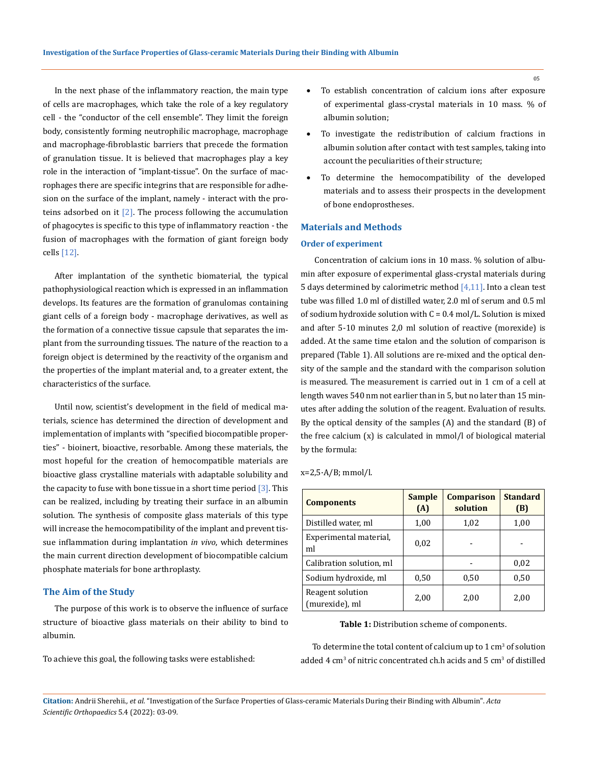In the next phase of the inflammatory reaction, the main type of cells are macrophages, which take the role of a key regulatory cell - the "conductor of the cell ensemble". They limit the foreign body, consistently forming neutrophilic macrophage, macrophage and macrophage-fibroblastic barriers that precede the formation of granulation tissue. It is believed that macrophages play a key role in the interaction of "implant-tissue". On the surface of macrophages there are specific integrins that are responsible for adhesion on the surface of the implant, namely - interact with the proteins adsorbed on it  $[2]$ . The process following the accumulation of phagocytes is specific to this type of inflammatory reaction - the fusion of macrophages with the formation of giant foreign body cells [12].

After implantation of the synthetic biomaterial, the typical pathophysiological reaction which is expressed in an inflammation develops. Its features are the formation of granulomas containing giant cells of a foreign body - macrophage derivatives, as well as the formation of a connective tissue capsule that separates the implant from the surrounding tissues. The nature of the reaction to a foreign object is determined by the reactivity of the organism and the properties of the implant material and, to a greater extent, the characteristics of the surface.

Until now, scientist's development in the field of medical materials, science has determined the direction of development and implementation of implants with "specified biocompatible properties" - bioinert, bioactive, resorbable. Among these materials, the most hopeful for the creation of hemocompatible materials are bioactive glass crystalline materials with adaptable solubility and the capacity to fuse with bone tissue in a short time period  $\left[3\right]$ . This can be realized, including by treating their surface in an albumin solution. The synthesis of composite glass materials of this type will increase the hemocompatibility of the implant and prevent tissue inflammation during implantation *in vivo*, which determines the main current direction development of biocompatible calcium phosphate materials for bone arthroplasty.

### **The Aim of the Study**

The purpose of this work is to observe the influence of surface structure of bioactive glass materials on their ability to bind to albumin.

To achieve this goal, the following tasks were established:

- To establish concentration of calcium ions after exposure of experimental glass-crystal materials in 10 mass. % of albumin solution;
- To investigate the redistribution of calcium fractions in albumin solution after contact with test samples, taking into account the peculiarities of their structure;
- To determine the hemocompatibility of the developed materials and to assess their prospects in the development of bone endoprostheses.

# **Materials and Methods**

## **Order of experiment**

 Concentration of calcium ions in 10 mass. % solution of albumin after exposure of experimental glass-crystal materials during 5 days determined by calorimetric method  $[4,11]$ . Into a clean test tube was filled 1.0 ml of distilled water, 2.0 ml of serum and 0.5 ml of sodium hydroxide solution with C = 0.4 mol/L. Solution is mixed and after 5-10 minutes 2,0 ml solution of reactive (morexide) is added. At the same time etalon and the solution of comparison is prepared (Table 1). All solutions are re-mixed and the optical density of the sample and the standard with the comparison solution is measured. The measurement is carried out in 1 cm of a cell at length waves 540 nm not earlier than in 5, but no later than 15 minutes after adding the solution of the reagent. Evaluation of results. By the optical density of the samples (A) and the standard (B) of the free calcium (x) is calculated in mmol/l of biological material by the formula:

| $x=2,5 \cdot A/B$ ; mmol/l. |  |  |
|-----------------------------|--|--|
|-----------------------------|--|--|

| <b>Components</b>                  | <b>Sample</b><br>(A) | <b>Comparison</b><br>solution | <b>Standard</b><br>(B) |  |
|------------------------------------|----------------------|-------------------------------|------------------------|--|
| Distilled water, ml                | 1,00                 | 1,02                          | 1,00                   |  |
| Experimental material,<br>ml       | 0,02                 |                               |                        |  |
| Calibration solution, ml           |                      |                               | 0,02                   |  |
| Sodium hydroxide, ml               | 0,50                 | 0,50                          | 0,50                   |  |
| Reagent solution<br>(murexide), ml | 2,00                 | 2,00                          | 2,00                   |  |

**Table 1:** Distribution scheme of components.

To determine the total content of calcium up to  $1 \text{ cm}^3$  of solution added  $4 \text{ cm}^3$  of nitric concentrated ch.h acids and  $5 \text{ cm}^3$  of distilled

05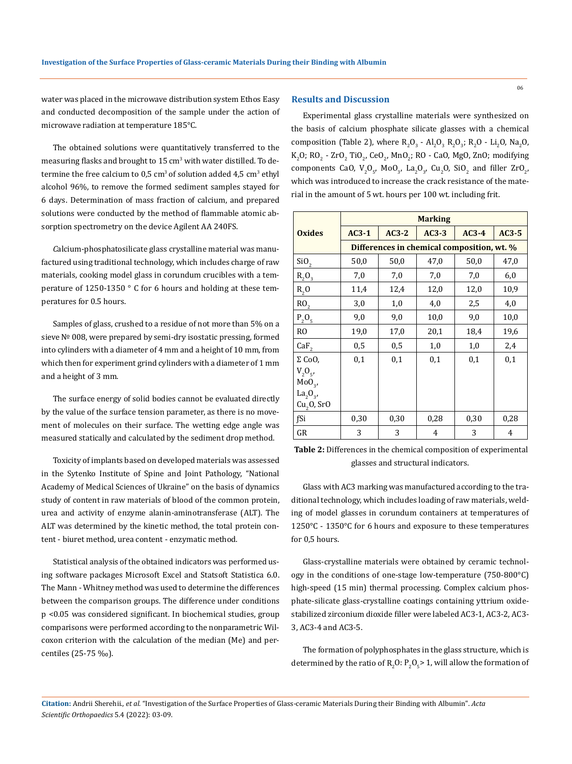water was placed in the microwave distribution system Ethos Easy and conducted decomposition of the sample under the action of microwave radiation at temperature 185°С.

The obtained solutions were quantitatively transferred to the measuring flasks and brought to 15 cm<sup>3</sup> with water distilled. To determine the free calcium to  $0.5 \text{ cm}^3$  of solution added  $4.5 \text{ cm}^3$  ethyl alcohol 96%, to remove the formed sediment samples stayed for 6 days. Determination of mass fraction of calcium, and prepared solutions were conducted by the method of flammable atomic absorption spectrometry on the device Agilent AA 240FS.

*С*alcium-phosphatosilicate glass crystalline material was manufactured using traditional technology, which includes charge of raw materials, cooking model glass in corundum crucibles with a temperature of 1250-1350 ° C for 6 hours and holding at these temperatures for 0.5 hours.

Samples of glass, crushed to a residue of not more than 5% on a sieve № 008, were prepared by semi-dry isostatic pressing, formed into cylinders with a diameter of 4 mm and a height of 10 mm, from which then for experiment grind cylinders with a diameter of 1 mm and a height of 3 mm.

The surface energy of solid bodies cannot be evaluated directly by the value of the surface tension parameter, as there is no movement of molecules on their surface. The wetting edge angle was measured statically and calculated by the sediment drop method.

Toxicity of implants based on developed materials was assessed in the Sytenko Institute of Spine and Joint Pathology, "National Academy of Medical Sciences of Ukraine" on the basis of dynamics study of content in raw materials of blood of the common protein, urea and activity of enzyme alanin-aminotransferase (ALT). The ALT was determined by the kinetic method, the total protein content - biuret method, urea content - enzymatic method.

Statistical analysis of the obtained indicators was performed using software packages Microsoft Excel and Statsoft Statistica 6.0. The Mann - Whitney method was used to determine the differences between the comparison groups. The difference under conditions p <0.05 was considered significant. In biochemical studies, group comparisons were performed according to the nonparametric Wilcoxon criterion with the calculation of the median (Me) and percentiles (25-75 ‰).

# **Results and Discussion**

Experimental glass crystalline materials were synthesized on the basis of calcium phosphate silicate glasses with a chemical composition (Table 2), where  $R_2O_3$  -  $Al_2O_3$   $R_2O_3$ ;  $R_2O$  -  $Li_2O$ ,  $Na_2O$ ,  $K_2O$ ; RO<sub>2</sub> - ZrO<sub>2</sub> TiO<sub>2</sub>, CeO<sub>2</sub>, MnO<sub>2</sub>; RO - CaO, MgO, ZnO; modifying components CaO,  $V_2O_5$ , MoO<sub>3</sub>, La<sub>2</sub>O<sub>3</sub>, Cu<sub>2</sub>O, SiO<sub>2</sub> and filler ZrO<sub>2</sub>, which was introduced to increase the crack resistance of the material in the amount of 5 wt. hours per 100 wt. including frit.

|                                  | <b>Marking</b> |         |         |                                            |         |  |
|----------------------------------|----------------|---------|---------|--------------------------------------------|---------|--|
| <b>Oxides</b>                    | $AC3-1$        | $AC3-2$ | $AC3-3$ | $AC3-4$                                    | $AC3-5$ |  |
|                                  |                |         |         | Differences in chemical composition, wt. % |         |  |
| SiO <sub>2</sub>                 | 50,0           | 50,0    | 47,0    | 50,0                                       | 47,0    |  |
| $R_2O_3$                         | 7,0            | 7,0     | 7,0     | 7,0                                        | 6,0     |  |
| $R_{2}$ O                        | 11,4           | 12,4    | 12,0    | 12,0                                       | 10,9    |  |
| RO <sub>2</sub>                  | 3,0            | 1,0     | 4,0     | 2,5                                        | 4,0     |  |
| $P_2O_5$                         | 9,0            | 9,0     | 10,0    | 9,0                                        | 10,0    |  |
| R <sub>O</sub>                   | 19,0           | 17,0    | 20,1    | 18,4                                       | 19,6    |  |
| CaF <sub>2</sub>                 | 0,5            | 0,5     | 1,0     | 1,0                                        | 2,4     |  |
| $\Sigma$ CoO,                    | 0,1            | 0,1     | 0,1     | 0,1                                        | 0,1     |  |
| $V_2O_{5}$                       |                |         |         |                                            |         |  |
| MoO <sub>3</sub>                 |                |         |         |                                            |         |  |
| La <sub>2</sub> O <sub>3</sub> , |                |         |         |                                            |         |  |
| $Cu2O$ , SrO                     |                |         |         |                                            |         |  |
| fSi                              | 0,30           | 0,30    | 0,28    | 0,30                                       | 0,28    |  |
| GR                               | 3              | 3       | 4       | 3                                          | 4       |  |

**Table 2:** Differences in the chemical composition of experimental glasses and structural indicators.

Glass with AC3 marking was manufactured according to the traditional technology, which includes loading of raw materials, welding of model glasses in corundum containers at temperatures of 1250°С - 1350°С for 6 hours and exposure to these temperatures for 0,5 hours.

Glass-crystalline materials were obtained by ceramic technology in the conditions of one-stage low-temperature (750-800°С) high-speed (15 min) thermal processing. Complex calcium phosphate-silicate glass-crystalline coatings containing yttrium oxidestabilized zirconium dioxide filler were labeled AC3-1, AC3-2, AC3- 3, AC3-4 and АСЗ-5.

The formation of polyphosphates in the glass structure, which is determined by the ratio of  $R_2O: P_2O_5 > 1$ , will allow the formation of

**Citation:** Andrii Sherehii*., et al.* "Investigation of the Surface Properties of Glass-ceramic Materials During their Binding with Albumin". *Acta Scientific Orthopaedics* 5.4 (2022): 03-09.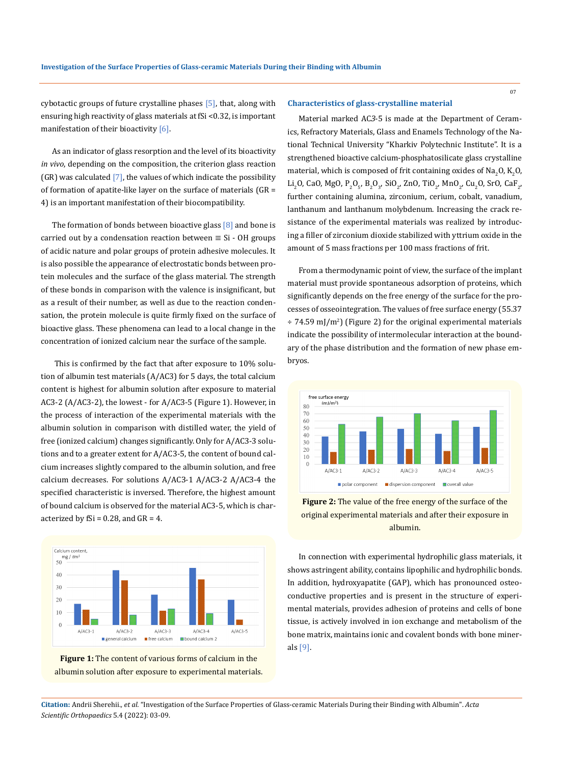cybotactic groups of future crystalline phases [5], that, along with ensuring high reactivity of glass materials at fSi <0.32, is important manifestation of their bioactivity [6].

As an indicator of glass resorption and the level of its bioactivity *in vivo*, depending on the composition, the criterion glass reaction  $(GR)$  was calculated  $[7]$ , the values of which indicate the possibility of formation of apatite-like layer on the surface of materials (GR = 4) is an important manifestation of their biocompatibility.

The formation of bonds between bioactive glass  $[8]$  and bone is carried out by a condensation reaction between  $\equiv$  Si - OH groups of acidic nature and polar groups of protein adhesive molecules. It is also possible the appearance of electrostatic bonds between protein molecules and the surface of the glass material. The strength of these bonds in comparison with the valence is insignificant, but as a result of their number, as well as due to the reaction condensation, the protein molecule is quite firmly fixed on the surface of bioactive glass. These phenomena can lead to a local change in the concentration of ionized calcium near the surface of the sample.

 This is confirmed by the fact that after exposure to 10% solution of albumin test materials (A/AC3) for 5 days, the total calcium content is highest for albumin solution after exposure to material ACЗ-2 (A/AC3-2), the lowest - for A/ACЗ-5 (Figure 1). However, in the process of interaction of the experimental materials with the albumin solution in comparison with distilled water, the yield of free (ionized calcium) changes significantly. Only for A/AC3-3 solutions and to a greater extent for A/AC3-5, the content of bound calcium increases slightly compared to the albumin solution, and free calcium decreases. For solutions A/ACЗ-1 A/ACЗ-2 A/ACЗ-4 the specified characteristic is inversed. Therefore, the highest amount of bound calcium is observed for the material AC3-5, which is characterized by  $fSi = 0.28$ , and  $GR = 4$ .





#### **Characteristics of glass-crystalline material**

Material marked AC*З*-5 is made at the Department of Ceramics, Refractory Materials, Glass and Enamels Technology of the National Technical University "Kharkiv Polytechnic Institute". It is a strengthened bioactive calcium-phosphatosilicate glass crystalline material, which is composed of frit containing oxides of Na<sub>2</sub>O, K<sub>2</sub>O, Li<sub>2</sub>O, CaO, MgO, P<sub>2</sub>O<sub>5</sub>, B<sub>2</sub>O<sub>3</sub>, SiO<sub>2</sub>, ZnO, TiO<sub>2</sub>, MnO<sub>2</sub>, Cu<sub>2</sub>O, SrO, CaF<sub>2</sub>, further containing alumina, zirconium, cerium, cobalt, vanadium, lanthanum and lanthanum molybdenum. Increasing the crack resistance of the experimental materials was realized by introducing a filler of zirconium dioxide stabilized with yttrium oxide in the amount of 5 mass fractions per 100 mass fractions of frit.

From a thermodynamic point of view, the surface of the implant material must provide spontaneous adsorption of proteins, which significantly depends on the free energy of the surface for the processes of osseointegration. The values of free surface energy (55.37 ÷ 74.59 mJ/m<sup>2</sup> ) (Figure 2) for the original experimental materials indicate the possibility of intermolecular interaction at the boundary of the phase distribution and the formation of new phase embryos.





In connection with experimental hydrophilic glass materials, it shows astringent ability, contains lipophilic and hydrophilic bonds. In addition, hydroxyapatite (GAP), which has pronounced osteoconductive properties and is present in the structure of experimental materials, provides adhesion of proteins and cells of bone tissue, is actively involved in ion exchange and metabolism of the bone matrix, maintains ionic and covalent bonds with bone minerals [9].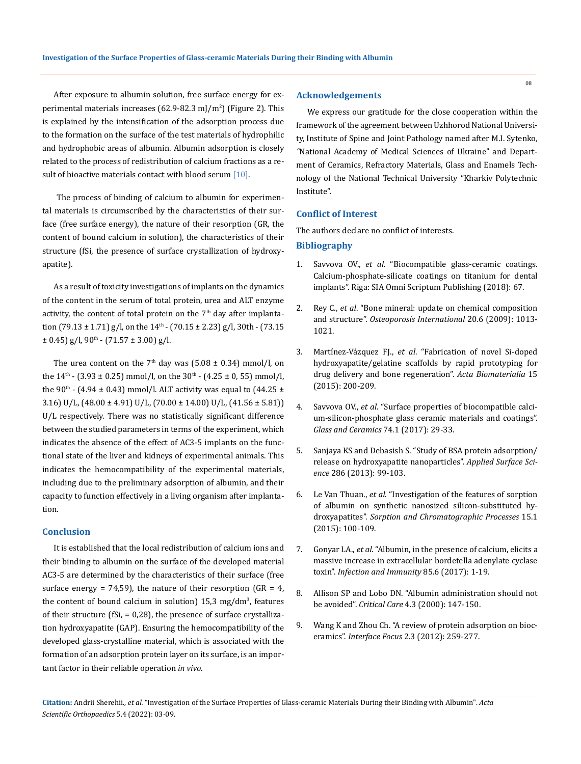After exposure to albumin solution, free surface energy for experimental materials increases (62.9-82.3 mJ/m<sup>2</sup>) (Figure 2). This is explained by the intensification of the adsorption process due to the formation on the surface of the test materials of hydrophilic and hydrophobic areas of albumin. Albumin adsorption is closely related to the process of redistribution of calcium fractions as a result of bioactive materials contact with blood serum  $[10]$ .

 The process of binding of calcium to albumin for experimental materials is circumscribed by the characteristics of their surface (free surface energy), the nature of their resorption (GR, the content of bound calcium in solution), the characteristics of their structure (fSi, the presence of surface crystallization of hydroxyapatite).

As a result of toxicity investigations of implants on the dynamics of the content in the serum of total protein, urea and ALT enzyme activity, the content of total protein on the  $7<sup>th</sup>$  day after implantation  $(79.13 \pm 1.71)$  g/l, on the  $14<sup>th</sup>$  -  $(70.15 \pm 2.23)$  g/l,  $30th$  -  $(73.15)$  $\pm$  0.45) g/l, 90<sup>th</sup> - (71.57  $\pm$  3.00) g/l.

The urea content on the  $7<sup>th</sup>$  day was (5.08  $\pm$  0.34) mmol/l, on the  $14<sup>th</sup>$  - (3.93 ± 0.25) mmol/l, on the  $30<sup>th</sup>$  - (4.25 ± 0, 55) mmol/l, the 90<sup>th</sup> - (4.94  $\pm$  0.43) mmol/l. ALT activity was equal to (44.25  $\pm$ 3.16) U/L,  $(48.00 \pm 4.91)$  U/L,  $(70.00 \pm 14.00)$  U/L,  $(41.56 \pm 5.81)$ U/L respectively. There was no statistically significant difference between the studied parameters in terms of the experiment, which indicates the absence of the effect of AC3-5 implants on the functional state of the liver and kidneys of experimental animals. This indicates the hemocompatibility of the experimental materials, including due to the preliminary adsorption of albumin, and their capacity to function effectively in a living organism after implantation.

# **Conclusion**

It is established that the local redistribution of calcium ions and their binding to albumin on the surface of the developed material AC3-5 are determined by the characteristics of their surface (free surface energy = 74,59), the nature of their resorption (GR = 4, the content of bound calcium in solution) 15,3 mg/dm<sup>3</sup>, features of their structure (fSi, = 0,28), the presence of surface crystallization hydroxyapatite (GAP). Ensuring the hemocompatibility of the developed glass-crystalline material, which is associated with the formation of an adsorption protein layer on its surface, is an important factor in their reliable operation *in vivo*.

# **Acknowledgements**

We express our gratitude for the close cooperation within the framework of the agreement between Uzhhorod National University, Institute of Spine and Joint Pathology named after M.I. Sytenko*, "*National Academy of Medical Sciences of Ukraine" and Department of Ceramics, Refractory Materials, Glass and Enamels Technology of the National Technical University "Kharkiv Polytechnic Institute".

## **Conflict of Interest**

The authors declare no conflict of interests.

### **Bibliography**

- 1. Savvova OV., *et al*. "Biocompatible glass-ceramic coatings. Calcium-phosphate-silicate coatings on titanium for dental implants". Riga: SIA Omni Scriptum Publishing (2018): 67.
- 2. Rey C., *et al*[. "Bone mineral: update on chemical composition](https://www.ncbi.nlm.nih.gov/pmc/articles/PMC2760485/)  and structure". *[Osteoporosis International](https://www.ncbi.nlm.nih.gov/pmc/articles/PMC2760485/)* 20.6 (2009): 1013- [1021.](https://www.ncbi.nlm.nih.gov/pmc/articles/PMC2760485/)
- 3. Martínez-Vázquez FJ., *et al*[. "Fabrication of novel Si-doped](https://www.sciencedirect.com/science/article/abs/pii/S1742706114005947)  [hydroxyapatite/gelatine scaffolds by rapid prototyping for](https://www.sciencedirect.com/science/article/abs/pii/S1742706114005947)  [drug delivery and bone regeneration".](https://www.sciencedirect.com/science/article/abs/pii/S1742706114005947) *Acta Biomaterialia* 15 [\(2015\): 200-209.](https://www.sciencedirect.com/science/article/abs/pii/S1742706114005947)
- 4. Savvova OV., *et al*[. "Surface properties of biocompatible calci](https://link.springer.com/article/10.1007/s10717-017-9922-3)[um-silicon-phosphate glass ceramic materials and coatings".](https://link.springer.com/article/10.1007/s10717-017-9922-3)  *[Glass and Ceramics](https://link.springer.com/article/10.1007/s10717-017-9922-3)* 74.1 (2017): 29-33.
- 5. [Sanjaya KS and Debasish S. "Study of BSA protein adsorption/](https://www.sciencedirect.com/science/article/abs/pii/S0169433213016681) [release on hydroxyapatite nanoparticles".](https://www.sciencedirect.com/science/article/abs/pii/S0169433213016681) *Applied Surface Science* [286 \(2013\): 99-103.](https://www.sciencedirect.com/science/article/abs/pii/S0169433213016681)
- 6. Le Van Thuan., *et al*. "Investigation of the features of sorption of albumin on synthetic nanosized silicon-substituted hydroxyapatites". *Sorption and Chromatographic Processes* 15.1 (2015): 100-109.
- 7. Gonyar LA., *et al*[. "Albumin, in the presence of calcium, elicits a](https://journals.asm.org/doi/10.1128/IAI.00198-17)  [massive increase in extracellular bordetella adenylate cyclase](https://journals.asm.org/doi/10.1128/IAI.00198-17)  toxin". *[Infection and Immunity](https://journals.asm.org/doi/10.1128/IAI.00198-17)* 85.6 (2017): 1-19.
- 8. Allison SP and Lobo DN. "Albumin administration should not be avoided". *Critical Care* 4.3 (2000): 147-150.
- 9. [Wang K and Zhou Ch. "A review of protein adsorption on bioc](https://pubmed.ncbi.nlm.nih.gov/23741605/)eramics". *Interface Focus* [2.3 \(2012\): 259-277.](https://pubmed.ncbi.nlm.nih.gov/23741605/)